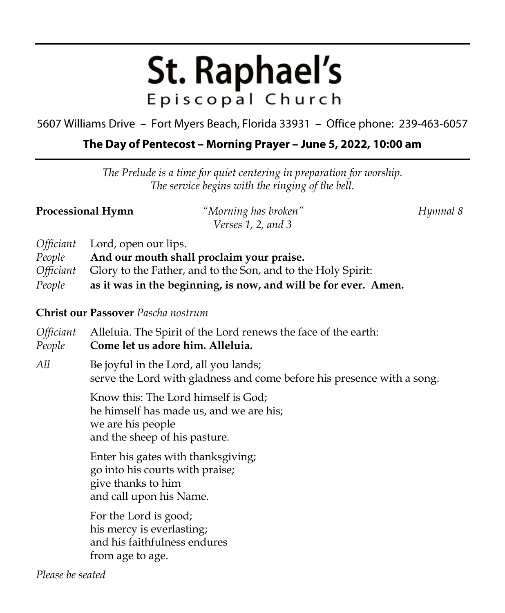# **St. Raphael's** Episcopal Church

5607 Williams Drive – Fort Myers Beach, Florida 33931 – Office phone: 239-463-6057

# **The Day of Pentecost – Morning Prayer – June 5, 2022, 10:00 am**

*The Prelude is a time for quiet centering in preparation for worship. The service begins with the ringing of the bell.*

| <b>Processional Hymn</b> | "Morning has broken"   | Hymnal 8 |
|--------------------------|------------------------|----------|
|                          | Verses $1, 2,$ and $3$ |          |

- *Officiant* Lord, open our lips.
- *People* **And our mouth shall proclaim your praise.** *Officiant* Glory to the Father, and to the Son, and to the Holy Spirit: *People* **as it was in the beginning, is now, and will be for ever. Amen.**

# **Christ our Passover** *Pascha nostrum*

| <i><b>Officiant</b></i><br>People | Alleluia. The Spirit of the Lord renews the face of the earth:<br>Come let us adore him. Alleluia.                                   |
|-----------------------------------|--------------------------------------------------------------------------------------------------------------------------------------|
| All                               | Be joyful in the Lord, all you lands;<br>serve the Lord with gladness and come before his presence with a song.                      |
|                                   | Know this: The Lord himself is God;<br>he himself has made us, and we are his;<br>we are his people<br>and the sheep of his pasture. |
|                                   | Enter his gates with thanksgiving;<br>go into his courts with praise;<br>give thanks to him<br>and call upon his Name.               |
|                                   | For the Lord is good;<br>his mercy is everlasting;<br>and his faithfulness endures<br>from age to age.                               |

*Please be seated*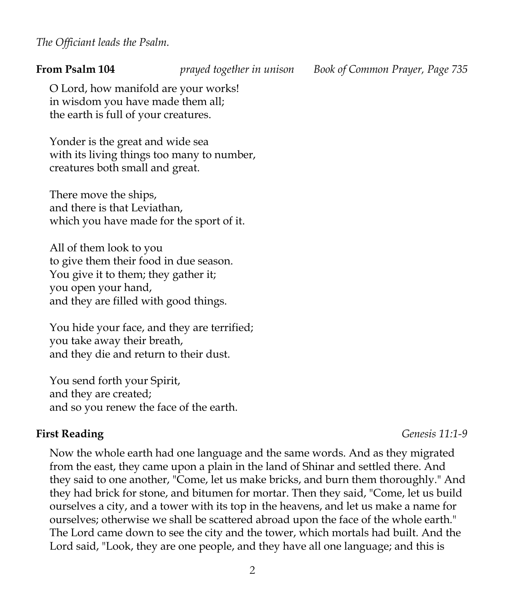### *The Officiant leads the Psalm.*

**From Psalm 104** *prayed together in unison Book of Common Prayer, Page 735*

O Lord, how manifold are your works! in wisdom you have made them all; the earth is full of your creatures.

Yonder is the great and wide sea with its living things too many to number, creatures both small and great.

There move the ships, and there is that Leviathan, which you have made for the sport of it.

All of them look to you to give them their food in due season. You give it to them; they gather it; you open your hand, and they are filled with good things.

You hide your face, and they are terrified; you take away their breath, and they die and return to their dust.

You send forth your Spirit, and they are created; and so you renew the face of the earth.

# **First Reading** *Genesis 11:1-9*

Now the whole earth had one language and the same words. And as they migrated from the east, they came upon a plain in the land of Shinar and settled there. And they said to one another, "Come, let us make bricks, and burn them thoroughly." And they had brick for stone, and bitumen for mortar. Then they said, "Come, let us build ourselves a city, and a tower with its top in the heavens, and let us make a name for ourselves; otherwise we shall be scattered abroad upon the face of the whole earth." The Lord came down to see the city and the tower, which mortals had built. And the Lord said, "Look, they are one people, and they have all one language; and this is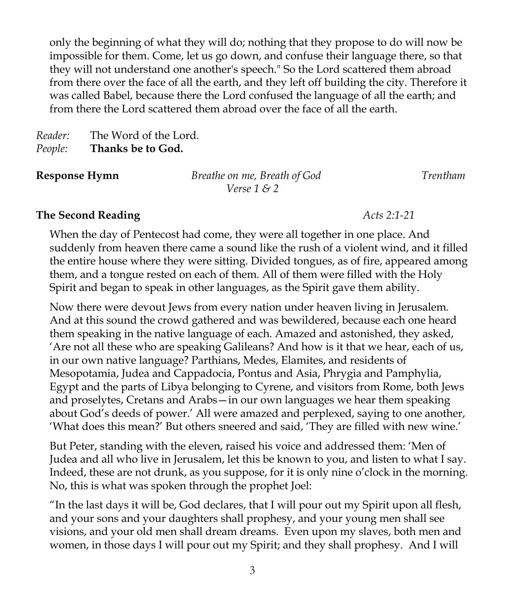only the beginning of what they will do; nothing that they propose to do will now be impossible for them. Come, let us go down, and confuse their language there, so that they will not understand one another's speech." So the Lord scattered them abroad from there over the face of all the earth, and they left off building the city. Therefore it was called Babel, because there the Lord confused the language of all the earth; and from there the Lord scattered them abroad over the face of all the earth.

*Reader:* The Word of the Lord. *People:* **Thanks be to God.**

| Response Hymn | Breathe on me, Breath of God | Trentham |
|---------------|------------------------------|----------|
|               | <i>Verse</i> 1 & 2           |          |

### **The Second Reading** *Acts 2:1-21*

When the day of Pentecost had come, they were all together in one place. And suddenly from heaven there came a sound like the rush of a violent wind, and it filled the entire house where they were sitting. Divided tongues, as of fire, appeared among them, and a tongue rested on each of them. All of them were filled with the Holy Spirit and began to speak in other languages, as the Spirit gave them ability.

Now there were devout Jews from every nation under heaven living in Jerusalem. And at this sound the crowd gathered and was bewildered, because each one heard them speaking in the native language of each. Amazed and astonished, they asked, 'Are not all these who are speaking Galileans? And how is it that we hear, each of us, in our own native language? Parthians, Medes, Elamites, and residents of Mesopotamia, Judea and Cappadocia, Pontus and Asia, Phrygia and Pamphylia, Egypt and the parts of Libya belonging to Cyrene, and visitors from Rome, both Jews and proselytes, Cretans and Arabs—in our own languages we hear them speaking about God's deeds of power.' All were amazed and perplexed, saying to one another, 'What does this mean?' But others sneered and said, 'They are filled with new wine.'

But Peter, standing with the eleven, raised his voice and addressed them: 'Men of Judea and all who live in Jerusalem, let this be known to you, and listen to what I say. Indeed, these are not drunk, as you suppose, for it is only nine o'clock in the morning. No, this is what was spoken through the prophet Joel:

"In the last days it will be, God declares, that I will pour out my Spirit upon all flesh, and your sons and your daughters shall prophesy, and your young men shall see visions, and your old men shall dream dreams. Even upon my slaves, both men and women, in those days I will pour out my Spirit; and they shall prophesy. And I will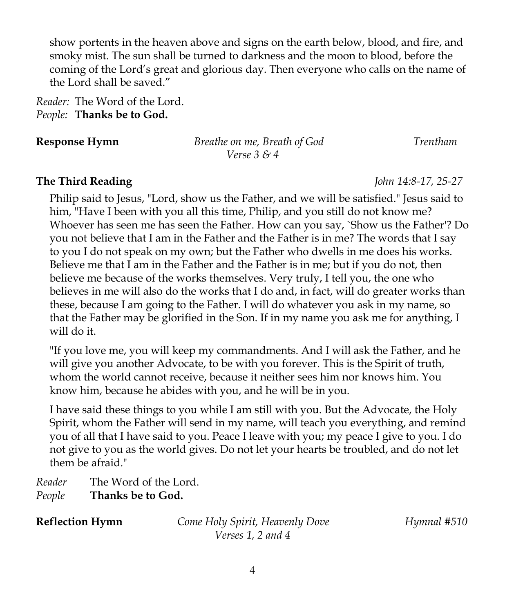show portents in the heaven above and signs on the earth below, blood, and fire, and smoky mist. The sun shall be turned to darkness and the moon to blood, before the coming of the Lord's great and glorious day. Then everyone who calls on the name of the Lord shall be saved."

*Reader:* The Word of the Lord. *People:* **Thanks be to God.**

**Response Hymn** *Breathe on me, Breath of God Trentham Verse 3 & 4*

**The Third Reading** *John 14:8-17, 25-27 Philip said to Jesus, "Lord, show us the Father, and we will be satisfied." Jesus said to Philip said to Jesus, "Lord, show us the Father, and we will be satisfied." Jesus said* him, "Have I been with you all this time, Philip, and you still do not know me? Whoever has seen me has seen the Father. How can you say, `Show us the Father'? Do you not believe that I am in the Father and the Father is in me? The words that I say to you I do not speak on my own; but the Father who dwells in me does his works. Believe me that I am in the Father and the Father is in me; but if you do not, then believe me because of the works themselves. Very truly, I tell you, the one who believes in me will also do the works that I do and, in fact, will do greater works than these, because I am going to the Father. I will do whatever you ask in my name, so that the Father may be glorified in the Son. If in my name you ask me for anything, I will do it.

"If you love me, you will keep my commandments. And I will ask the Father, and he will give you another Advocate, to be with you forever. This is the Spirit of truth, whom the world cannot receive, because it neither sees him nor knows him. You know him, because he abides with you, and he will be in you.

I have said these things to you while I am still with you. But the Advocate, the Holy Spirit, whom the Father will send in my name, will teach you everything, and remind you of all that I have said to you. Peace I leave with you; my peace I give to you. I do not give to you as the world gives. Do not let your hearts be troubled, and do not let them be afraid."

*Reader* The Word of the Lord. *People* **Thanks be to God.**

**Reflection Hymn** *Come Holy Spirit, Heavenly Dove**Hymnal #510 Verses 1, 2 and 4*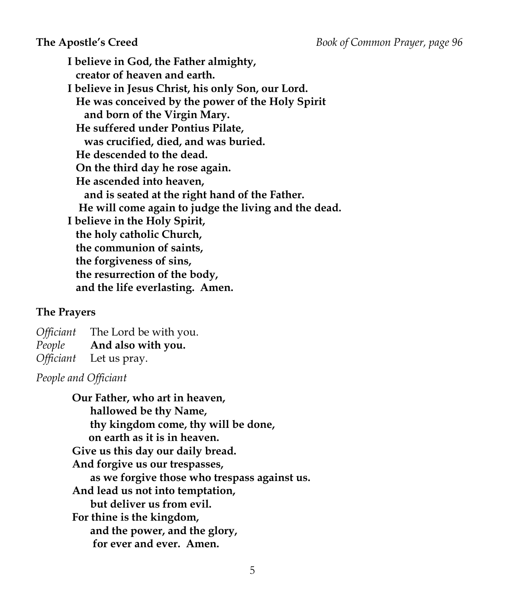**I believe in God, the Father almighty, creator of heaven and earth. I believe in Jesus Christ, his only Son, our Lord. He was conceived by the power of the Holy Spirit and born of the Virgin Mary. He suffered under Pontius Pilate, was crucified, died, and was buried. He descended to the dead. On the third day he rose again. He ascended into heaven, and is seated at the right hand of the Father. He will come again to judge the living and the dead. I believe in the Holy Spirit, the holy catholic Church, the communion of saints, the forgiveness of sins, the resurrection of the body, and the life everlasting. Amen.**

### **The Prayers**

*Officiant* The Lord be with you. *People* **And also with you.** *Officiant* Let us pray.

### *People and Officiant*

**Our Father, who art in heaven, hallowed be thy Name, thy kingdom come, thy will be done, on earth as it is in heaven. Give us this day our daily bread. And forgive us our trespasses, as we forgive those who trespass against us. And lead us not into temptation, but deliver us from evil. For thine is the kingdom, and the power, and the glory, for ever and ever. Amen.**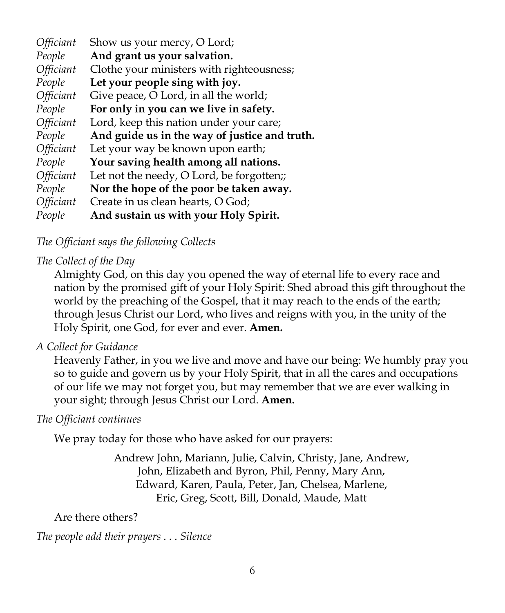| <i><b>Officiant</b></i> | Show us your mercy, O Lord;                   |
|-------------------------|-----------------------------------------------|
| People                  | And grant us your salvation.                  |
| <i><b>Officiant</b></i> | Clothe your ministers with righteousness;     |
| People                  | Let your people sing with joy.                |
| <i><b>Officiant</b></i> | Give peace, O Lord, in all the world;         |
| People                  | For only in you can we live in safety.        |
| <i><b>Officiant</b></i> | Lord, keep this nation under your care;       |
| People                  | And guide us in the way of justice and truth. |
| <i><b>Officiant</b></i> | Let your way be known upon earth;             |
| People                  | Your saving health among all nations.         |
| <i><b>Officiant</b></i> | Let not the needy, O Lord, be forgotten;;     |
| People                  | Nor the hope of the poor be taken away.       |
| <i><b>Officiant</b></i> | Create in us clean hearts, O God;             |
| People                  | And sustain us with your Holy Spirit.         |

*The Officiant says the following Collects*

*The Collect of the Day*

Almighty God, on this day you opened the way of eternal life to every race and nation by the promised gift of your Holy Spirit: Shed abroad this gift throughout the world by the preaching of the Gospel, that it may reach to the ends of the earth; through Jesus Christ our Lord, who lives and reigns with you, in the unity of the Holy Spirit, one God, for ever and ever. **Amen.**

*A Collect for Guidance*

Heavenly Father, in you we live and move and have our being: We humbly pray you so to guide and govern us by your Holy Spirit, that in all the cares and occupations of our life we may not forget you, but may remember that we are ever walking in your sight; through Jesus Christ our Lord. **Amen.**

### *The Officiant continues*

We pray today for those who have asked for our prayers:

Andrew John, Mariann, Julie, Calvin, Christy, Jane, Andrew, John, Elizabeth and Byron, Phil, Penny, Mary Ann, Edward, Karen, Paula, Peter, Jan, Chelsea, Marlene, Eric, Greg, Scott, Bill, Donald, Maude, Matt

Are there others?

*The people add their prayers . . . Silence*